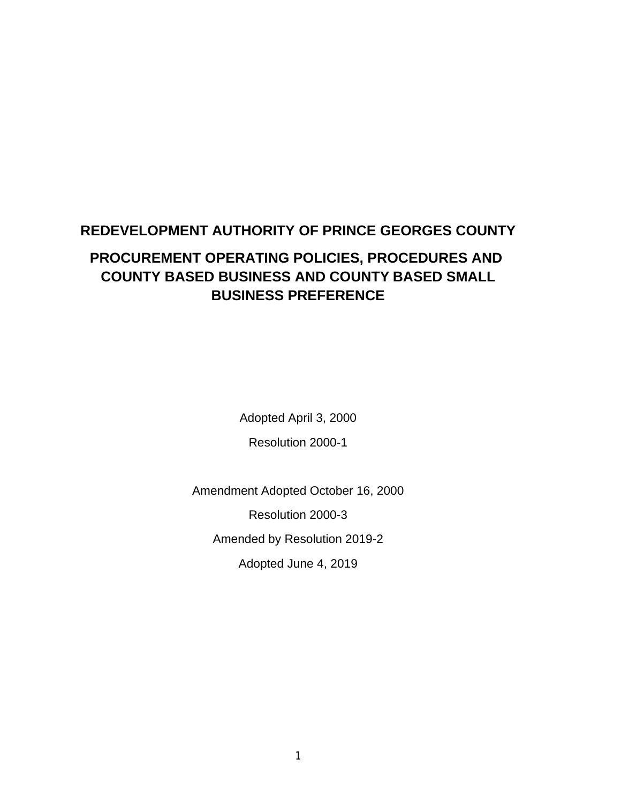# **REDEVELOPMENT AUTHORITY OF PRINCE GEORGES COUNTY PROCUREMENT OPERATING POLICIES, PROCEDURES AND COUNTY BASED BUSINESS AND COUNTY BASED SMALL BUSINESS PREFERENCE**

Adopted April 3, 2000 Resolution 2000-1

Amendment Adopted October 16, 2000

Resolution 2000-3

Amended by Resolution 2019-2

Adopted June 4, 2019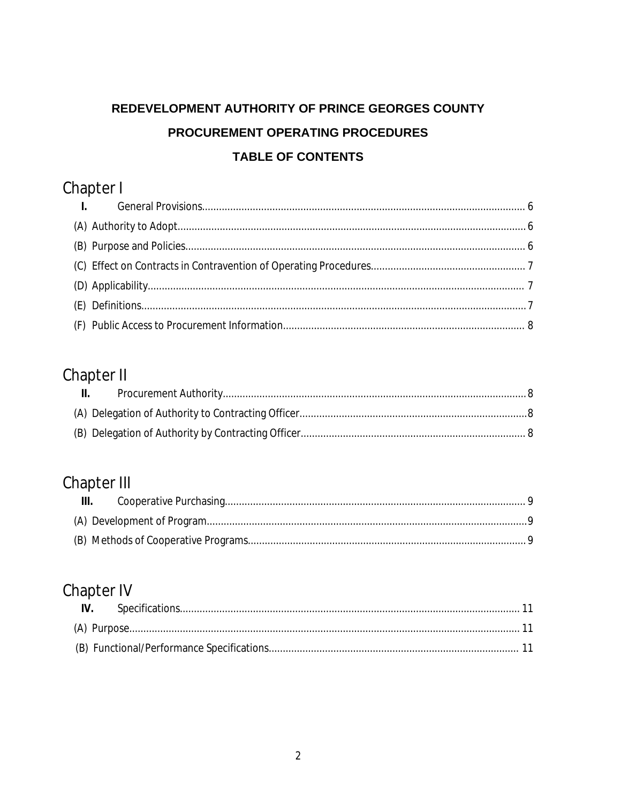# REDEVELOPMENT AUTHORITY OF PRINCE GEORGES COUNTY PROCUREMENT OPERATING PROCEDURES **TABLE OF CONTENTS**

# Chapter I

# Chapter II

| $\mathbf{II}$ . |  |
|-----------------|--|
|                 |  |
|                 |  |

# Chapter III

| $\mathbf{III}$ . |  |
|------------------|--|
|                  |  |
|                  |  |

# Chapter IV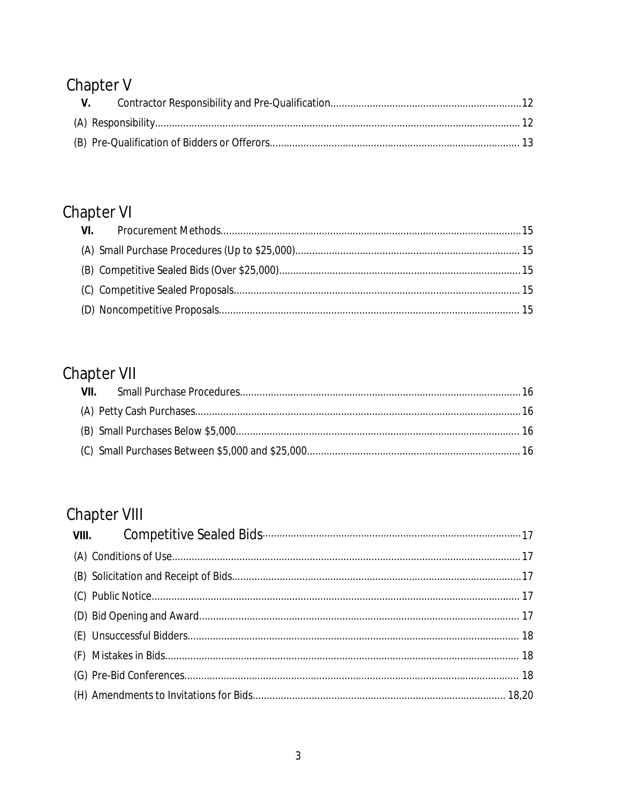# Chapter V

| $V_{\rm s}$ |  |
|-------------|--|
|             |  |
|             |  |

# Chapter VI

# Chapter VII

# Chapter VIII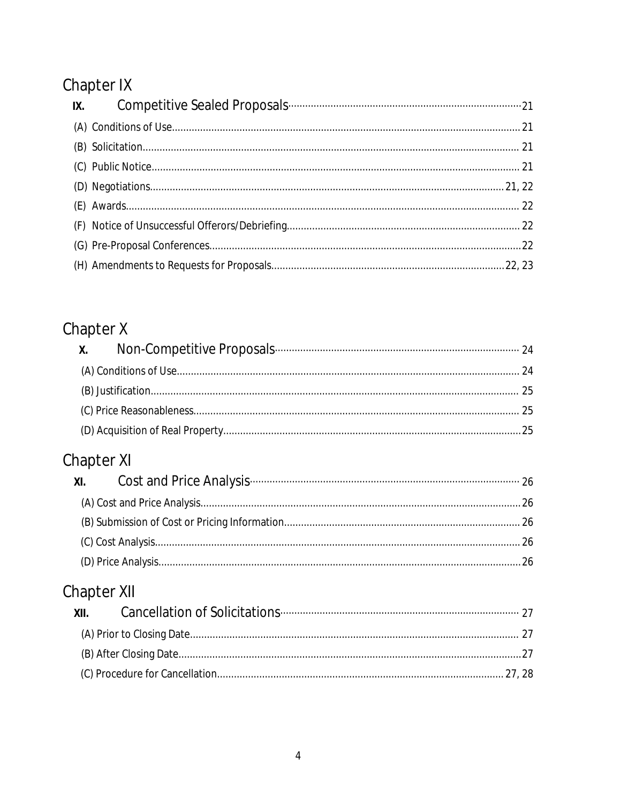# Chapter IX

| IX. |  |
|-----|--|
|     |  |
|     |  |
|     |  |
|     |  |
|     |  |
|     |  |
|     |  |
|     |  |

# Chapter X

# Chapter XI

| XI. Cost and Price Analysis <b>CONVERGENT CONTROL</b> 26 |  |
|----------------------------------------------------------|--|
|                                                          |  |
|                                                          |  |
|                                                          |  |
|                                                          |  |

# Chapter XII

| XII. |  |
|------|--|
|      |  |
|      |  |
|      |  |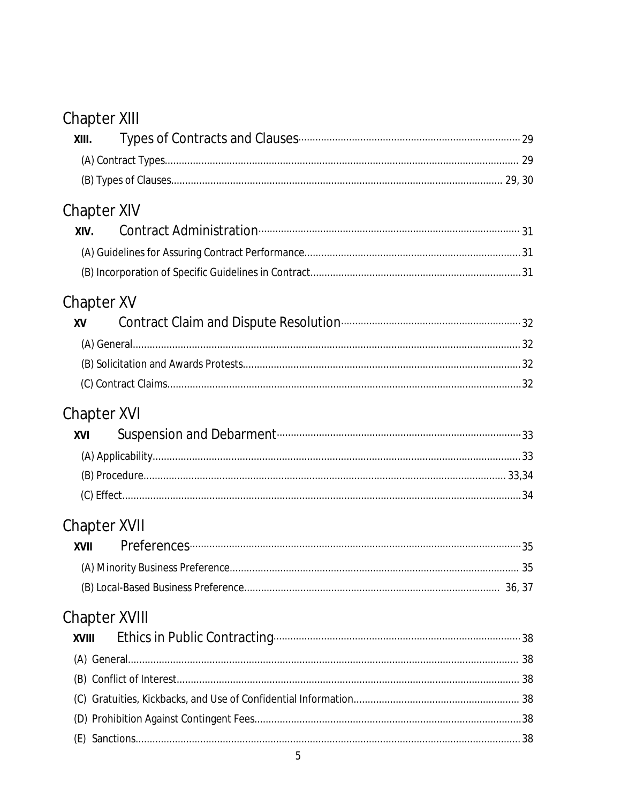# Chapter XIII

| XIII.         |   |  |
|---------------|---|--|
|               |   |  |
|               |   |  |
| Chapter XIV   |   |  |
| XIV.          |   |  |
|               |   |  |
|               |   |  |
| Chapter XV    |   |  |
| XV            |   |  |
|               |   |  |
|               |   |  |
|               |   |  |
| Chapter XVI   |   |  |
| XVI           |   |  |
|               |   |  |
|               |   |  |
|               |   |  |
| Chapter XVII  |   |  |
| XVII          |   |  |
|               |   |  |
|               |   |  |
| Chapter XVIII |   |  |
| <b>XVIII</b>  |   |  |
|               |   |  |
|               |   |  |
| (C)           |   |  |
|               |   |  |
|               |   |  |
|               | 5 |  |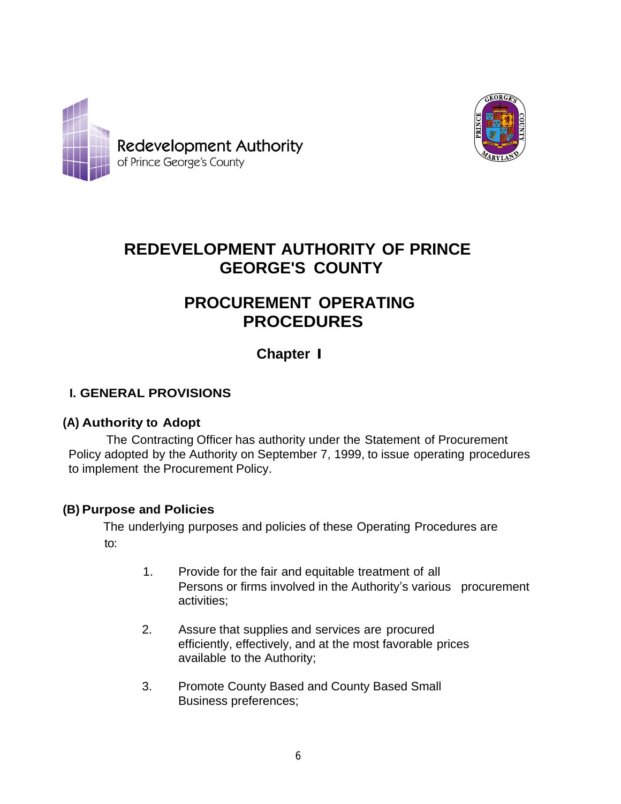



# **REDEVELOPMENT AUTHORITY OF PRINCE GEORGE'S COUNTY**

# **PROCUREMENT OPERATING PROCEDURES**

# **Chapter I**

# **I. GENERAL PROVISIONS**

### **(A) Authority to Adopt**

The Contracting Officer has authority under the Statement of Procurement Policy adopted by the Authority on September 7, 1999, to issue operating procedures to implement the Procurement Policy.

### **(B) Purpose and Policies**

The underlying purposes and policies of these Operating Procedures are to:

- 1. Provide for the fair and equitable treatment of all Persons or firms involved in the Authority's various procurement activities;
- 2. Assure that supplies and services are procured efficiently, effectively, and at the most favorable prices available to the Authority;
- 3. Promote County Based and County Based Small Business preferences;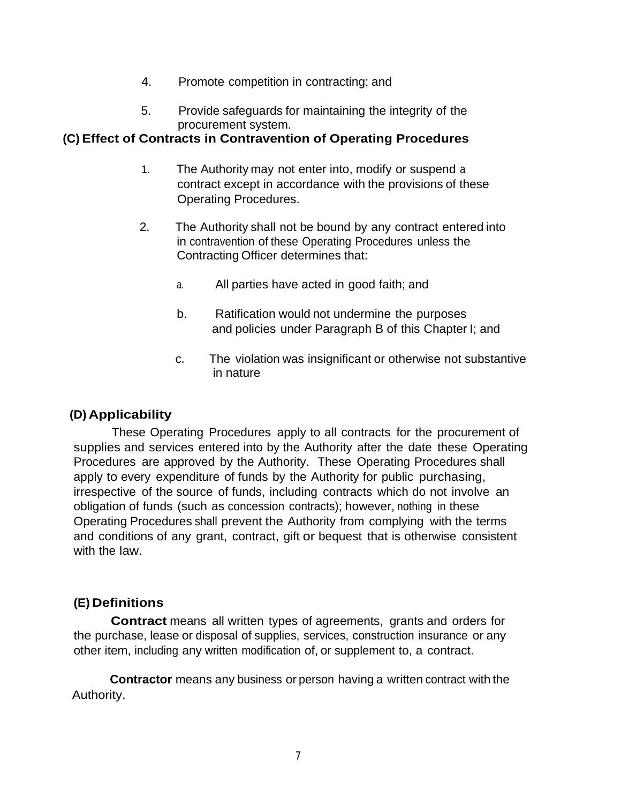- 4. Promote competition in contracting; and
- 5. Provide safeguards for maintaining the integrity of the procurement system.

#### **(C) Effect of Contracts in Contravention of Operating Procedures**

- 1. The Authority may not enter into, modify or suspend a contract except in accordance with the provisions of these Operating Procedures.
- 2. The Authority shall not be bound by any contract entered into in contravention of these Operating Procedures unless the Contracting Officer determines that:
	- a. All parties have acted in good faith; and
	- b. Ratification would not undermine the purposes and policies under Paragraph B of this Chapter I; and
	- c. The violation was insignificant or otherwise not substantive in nature

# **(D) Applicability**

These Operating Procedures apply to all contracts for the procurement of supplies and services entered into by the Authority after the date these Operating Procedures are approved by the Authority. These Operating Procedures shall apply to every expenditure of funds by the Authority for public purchasing, irrespective of the source of funds, including contracts which do not involve an obligation of funds (such as concession contracts); however, nothing in these Operating Procedures shall prevent the Authority from complying with the terms and conditions of any grant, contract, gift or bequest that is otherwise consistent with the law.

### **(E) Definitions**

**Contract** means all written types of agreements, grants and orders for the purchase, lease or disposal of supplies, services, construction insurance or any other item, including any written modification of, or supplement to, a contract.

**Contractor** means any business or person having a written contract with the Authority.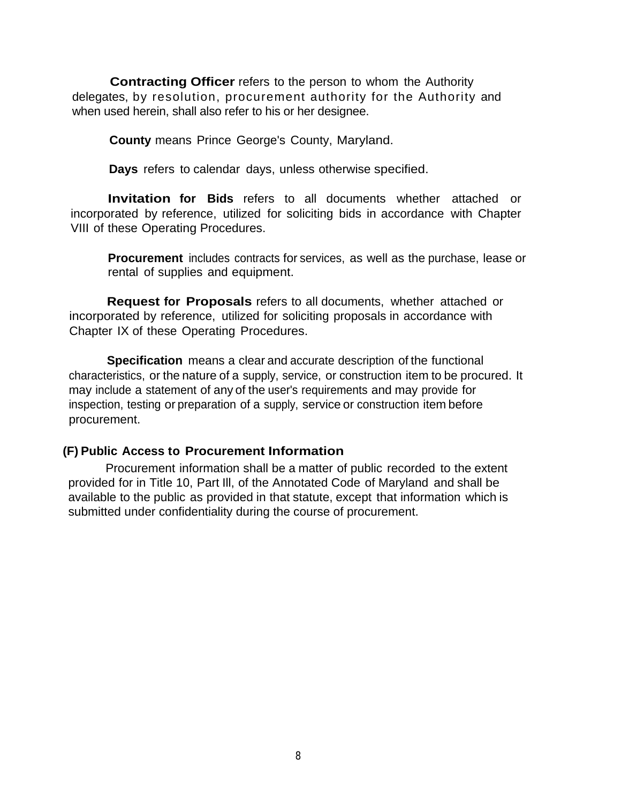**Contracting Officer** refers to the person to whom the Authority delegates, by resolution, procurement authority for the Authority and when used herein, shall also refer to his or her designee.

**County** means Prince George's County, Maryland.

**Days** refers to calendar days, unless otherwise specified.

**Invitation for Bids** refers to all documents whether attached or incorporated by reference, utilized for soliciting bids in accordance with Chapter VIII of these Operating Procedures.

**Procurement** includes contracts for services, as well as the purchase, lease or rental of supplies and equipment.

**Request for Proposals** refers to all documents, whether attached or incorporated by reference, utilized for soliciting proposals in accordance with Chapter IX of these Operating Procedures.

**Specification** means a clear and accurate description of the functional characteristics, or the nature of a supply, service, or construction item to be procured. It may include a statement of any of the user's requirements and may provide for inspection, testing or preparation of a supply, service or construction item before procurement.

#### **(F) Public Access to Procurement Information**

Procurement information shall be a matter of public recorded to the extent provided for in Title 10, Part Ill, of the Annotated Code of Maryland and shall be available to the public as provided in that statute, except that information which is submitted under confidentiality during the course of procurement.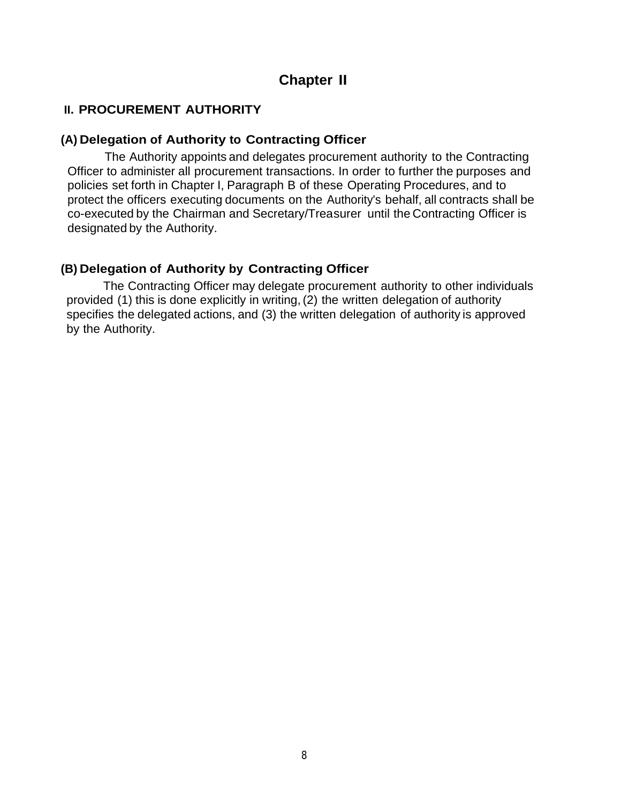# **Chapter II**

### **II. PROCUREMENT AUTHORITY**

#### **(A) Delegation of Authority to Contracting Officer**

The Authority appoints and delegates procurement authority to the Contracting Officer to administer all procurement transactions. In order to further the purposes and policies set forth in Chapter I, Paragraph B of these Operating Procedures, and to protect the officers executing documents on the Authority's behalf, all contracts shall be co-executed by the Chairman and Secretary/Treasurer until the Contracting Officer is designated by the Authority.

#### **(B) Delegation of Authority by Contracting Officer**

The Contracting Officer may delegate procurement authority to other individuals provided (1) this is done explicitly in writing,(2) the written delegation of authority specifies the delegated actions, and (3) the written delegation of authority is approved by the Authority.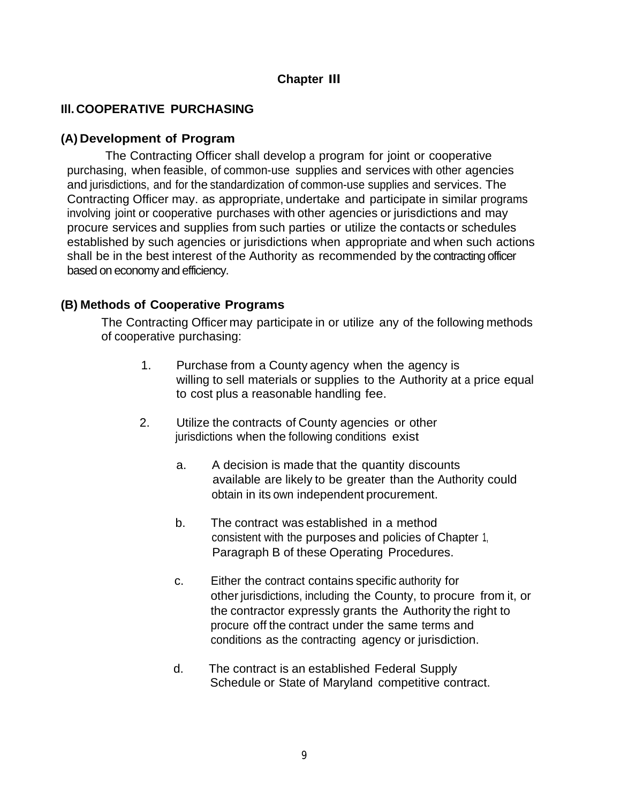## **Chapter Ill**

## **Ill. COOPERATIVE PURCHASING**

#### **(A) Development of Program**

The Contracting Officer shall develop a program for joint or cooperative purchasing, when feasible, of common-use supplies and services with other agencies and jurisdictions, and for the standardization of common-use supplies and services. The Contracting Officer may. as appropriate, undertake and participate in similar programs involving joint or cooperative purchases with other agencies or jurisdictions and may procure services and supplies from such parties or utilize the contacts or schedules established by such agencies or jurisdictions when appropriate and when such actions shall be in the best interest of the Authority as recommended by the contracting officer based on economy and efficiency.

#### **(B) Methods of Cooperative Programs**

The Contracting Officer may participate in or utilize any of the following methods of cooperative purchasing:

- 1. Purchase from a County agency when the agency is willing to sell materials or supplies to the Authority at a price equal to cost plus a reasonable handling fee.
- 2. Utilize the contracts of County agencies or other jurisdictions when the following conditions exist
	- a. A decision is made that the quantity discounts available are likely to be greater than the Authority could obtain in its own independent procurement.
	- b. The contract was established in a method consistent with the purposes and policies of Chapter 1, Paragraph B of these Operating Procedures.
	- c. Either the contract contains specific authority for other jurisdictions, including the County, to procure from it, or the contractor expressly grants the Authority the right to procure off the contract under the same terms and conditions as the contracting agency or jurisdiction.
	- d. The contract is an established Federal Supply Schedule or State of Maryland competitive contract.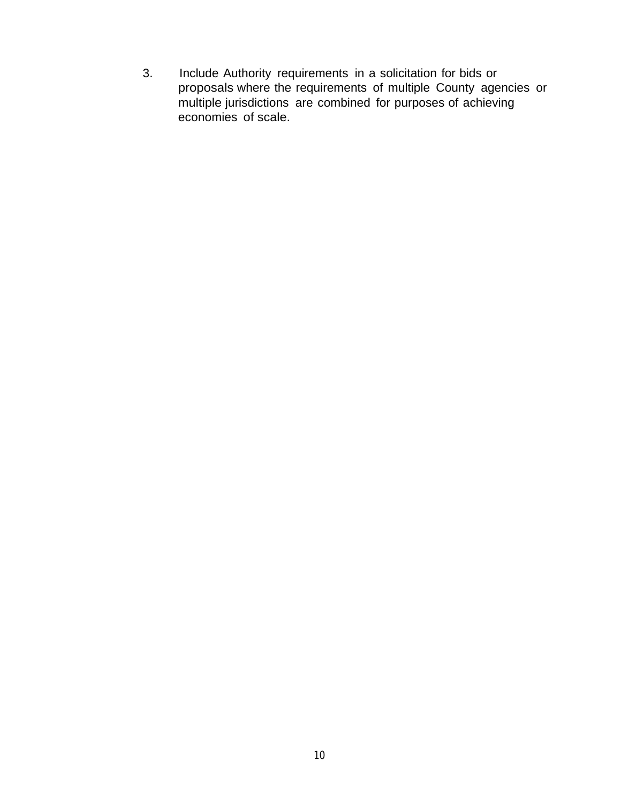3. Include Authority requirements in a solicitation for bids or proposals where the requirements of multiple County agencies or multiple jurisdictions are combined for purposes of achieving economies of scale.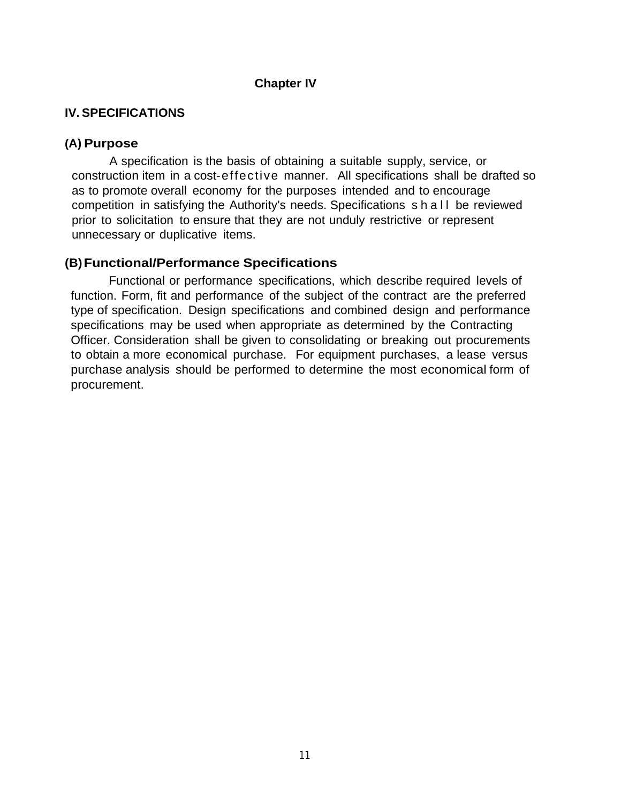#### **Chapter IV**

#### **IV. SPECIFICATIONS**

#### **(A) Purpose**

A specification is the basis of obtaining a suitable supply, service, or construction item in a cost-effective manner. All specifications shall be drafted so as to promote overall economy for the purposes intended and to encourage competition in satisfying the Authority's needs. Specifications shall be reviewed prior to solicitation to ensure that they are not unduly restrictive or represent unnecessary or duplicative items.

### **(B)Functional/Performance Specifications**

Functional or performance specifications, which describe required levels of function. Form, fit and performance of the subject of the contract are the preferred type of specification. Design specifications and combined design and performance specifications may be used when appropriate as determined by the Contracting Officer. Consideration shall be given to consolidating or breaking out procurements to obtain a more economical purchase. For equipment purchases, a lease versus purchase analysis should be performed to determine the most economical form of procurement.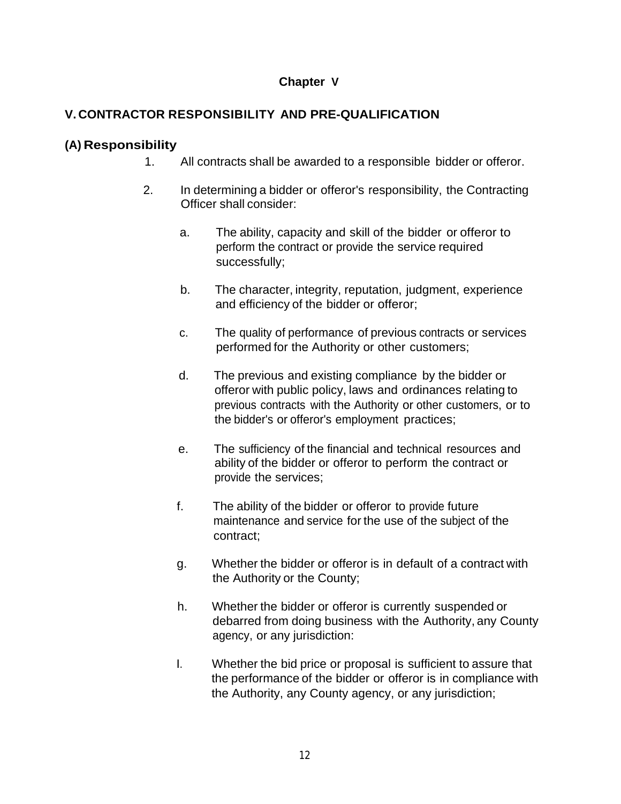### **Chapter V**

# **V. CONTRACTOR RESPONSIBILITY AND PRE-QUALIFICATION**

## **(A) Responsibility**

- 1. All contracts shall be awarded to a responsible bidder or offeror.
- 2. In determining a bidder or offeror's responsibility, the Contracting Officer shall consider:
	- a. The ability, capacity and skill of the bidder or offeror to perform the contract or provide the service required successfully;
	- b. The character, integrity, reputation, judgment, experience and efficiency of the bidder or offeror;
	- c. The quality of performance of previous contracts or services performed for the Authority or other customers;
	- d. The previous and existing compliance by the bidder or offeror with public policy, laws and ordinances relating to previous contracts with the Authority or other customers, or to the bidder's or offeror's employment practices;
	- e. The sufficiency of the financial and technical resources and ability of the bidder or offeror to perform the contract or provide the services;
	- f. The ability of the bidder or offeror to provide future maintenance and service for the use of the subject of the contract;
	- g. Whether the bidder or offeror is in default of a contract with the Authority or the County;
	- h. Whether the bidder or offeror is currently suspended or debarred from doing business with the Authority, any County agency, or any jurisdiction:
	- I. Whether the bid price or proposal is sufficient to assure that the performance of the bidder or offeror is in compliance with the Authority, any County agency, or any jurisdiction;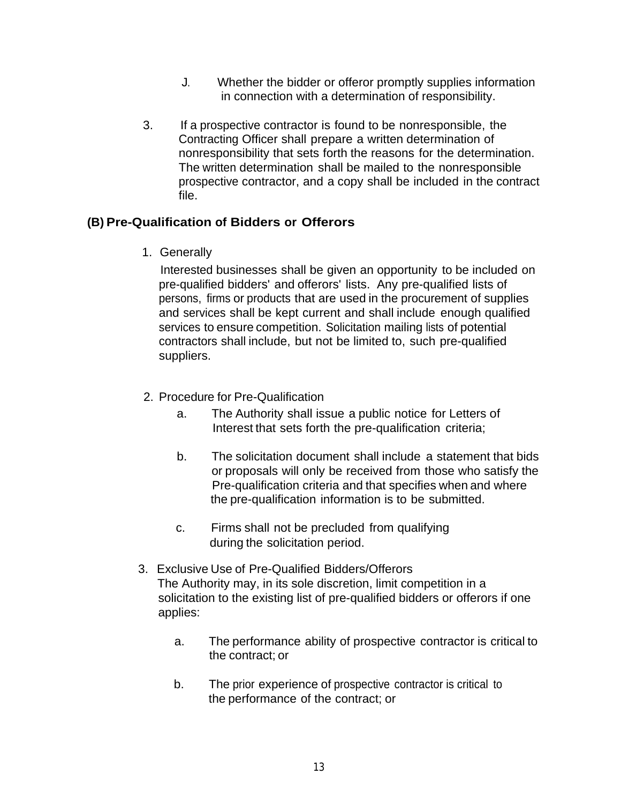- J. Whether the bidder or offeror promptly supplies information in connection with a determination of responsibility.
- 3. If a prospective contractor is found to be nonresponsible, the Contracting Officer shall prepare a written determination of nonresponsibility that sets forth the reasons for the determination. The written determination shall be mailed to the nonresponsible prospective contractor, and a copy shall be included in the contract file.

#### **(B) Pre-Qualification of Bidders or Offerors**

1. Generally

Interested businesses shall be given an opportunity to be included on pre-qualified bidders' and offerors' lists. Any pre-qualified lists of persons, firms or products that are used in the procurement of supplies and services shall be kept current and shall include enough qualified services to ensure competition. Solicitation mailing lists of potential contractors shall include, but not be limited to, such pre-qualified suppliers.

- 2. Proced ure for Pre-Qualification
	- a. The Authority shall issue a public notice for Letters of Interest that sets forth the pre-qualification criteria;
	- b. The solicitation document shall include a statement that bids or proposals will only be received from those who satisfy the Pre-qualification criteria and that specifies when and where the pre-qualification information is to be submitted.
	- c. Firms shall not be precluded from qualifying during the solicitation period.
- 3. Exclusive Use of Pre-Qualified Bidders/Offerors The Authority may, in its sole discretion, limit competition in a solicitation to the existing list of pre-qualified bidders or offerors if one applies:
	- a. The performance ability of prospective contractor is critical to the contract; or
	- b. The prior experience of prospective contractor is critical to the performance of the contract; or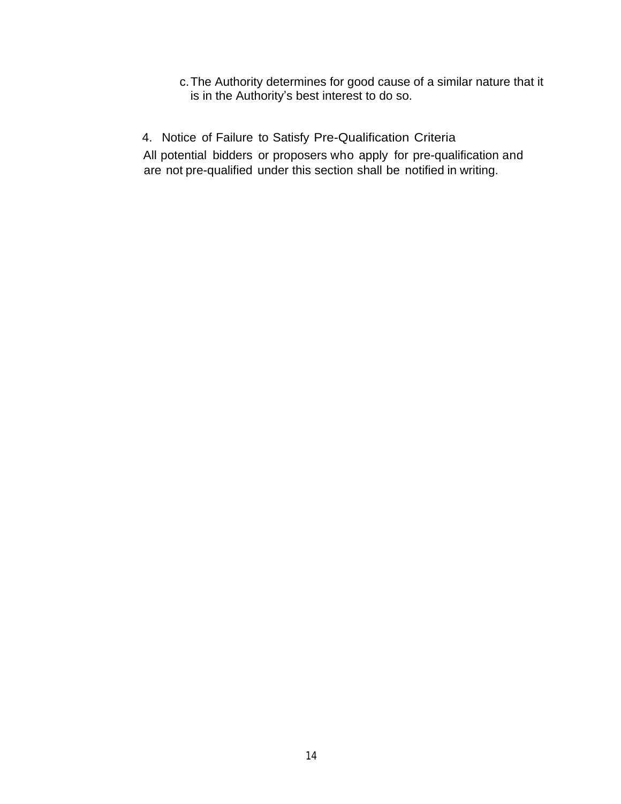- c.The Authority determines for good cause of a similar nature that it is in the Authority's best interest to do so.
- 4. Notice of Failure to Satisfy Pre-Qualification Criteria

All potential bidders or proposers who apply for pre-qualification and are not pre-qualified under this section shall be notified in writing.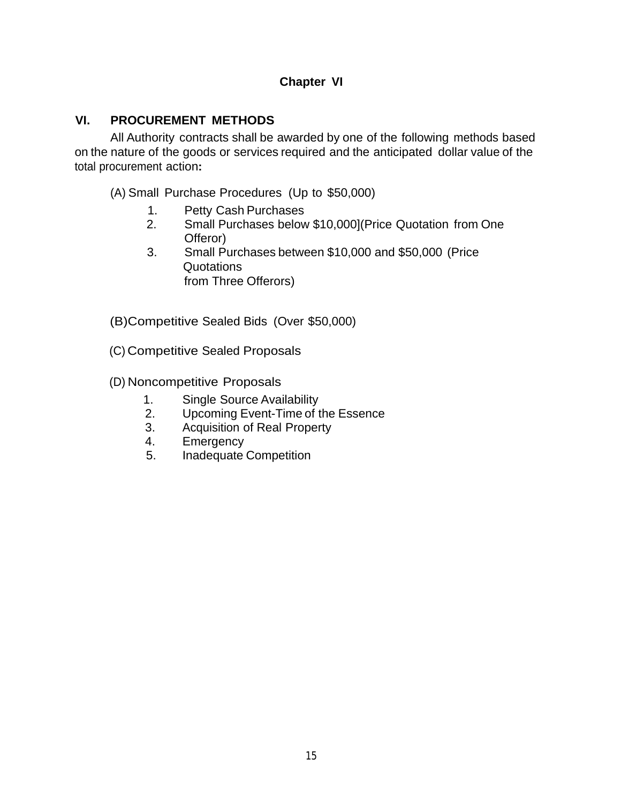### **Chapter VI**

#### **VI. PROCUREMENT METHODS**

All Authority contracts shall be awarded by one of the following methods based on the nature of the goods or services required and the anticipated dollar value of the total procurement action**:**

(A) Small Purchase Procedures (Up to \$50,000)

- 1. Petty Cash Purchases<br>2. Small Purchases below
- Small Purchases below \$10,000](Price Quotation from One Offeror)
- 3. Small Purchases between \$10,000 and \$50,000 (Price Quotations from Three Offerors)

(B)Competitive Sealed Bids (Over \$50,000)

(C) Competitive Sealed Proposals

(D) Noncompetitive Proposals

- 1. Single Source Availability
- 2. Upcoming Event-Time of the Essence
- 3. Acquisition of Real Property
- 4. Emergency
- 5. Inadequate Competition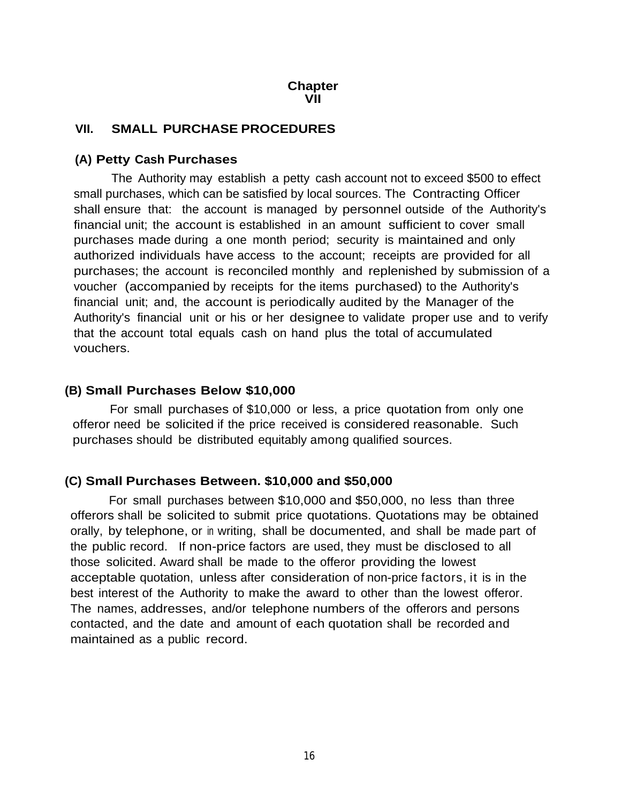#### **Chapter VII**

#### **VII. SMALL PURCHASE PROCEDURES**

#### **(A) Petty Cash Purchases**

The Authority may establish a petty cash account not to exceed \$500 to effect small purchases, which can be satisfied by local sources. The Contracting Officer shall ensure that: the account is managed by personnel outside of the Authority's financial unit; the account is established in an amount sufficient to cover small purchases made during a one month period; security is maintained and only authorized individuals have access to the account; receipts are provided for all purchases; the account is reconciled monthly and replenished by submission of a voucher (accompanied by receipts for the items purchased) to the Authority's financial unit; and, the account is periodically audited by the Manager of the Authority's financial unit or his or her designee to validate proper use and to verify that the account total equals cash on hand plus the total of accumulated vouchers.

#### **(B) Small Purchases Below \$10,000**

For small purchases of \$10,000 or less, a price quotation from only one offeror need be solicited if the price received is considered reasonable. Such purchases should be distributed equitably among qualified sources.

#### **(C) Small Purchases Between. \$10,000 and \$50,000**

For small purchases between \$10,000 and \$50,000, no less than three offerors shall be solicited to submit price quotations. Quotations may be obtained orally, by telephone, or in writing, shall be documented, and shall be made part of the public record. If non-price factors are used, they must be disclosed to all those solicited. Award shall be made to the offeror providing the lowest acceptable quotation, unless after consideration of non-price factors, it is in the best interest of the Authority to make the award to other than the lowest offeror. The names, addresses, and/or telephone numbers of the offerors and persons contacted, and the date and amount of each quotation shall be recorded and maintained as a public record.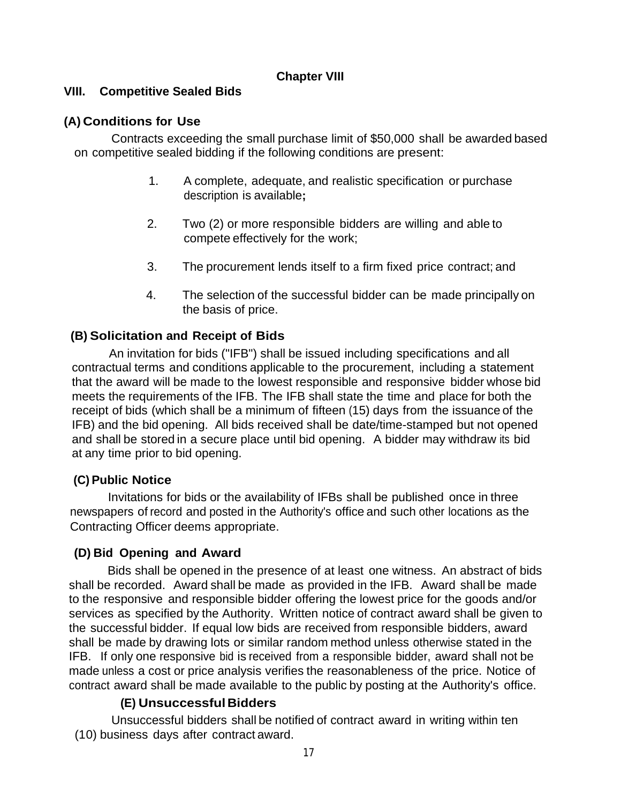#### **Chapter VIII**

#### **VIII. Competitive Sealed Bids**

## **(A) Conditions for Use**

Contracts exceeding the small purchase limit of \$50,000 shall be awarded based on competitive sealed bidding if the following conditions are present:

- 1. A complete, adequate, and realistic specification or purchase description is available**;**
- 2. Two (2) or more responsible bidders are willing and able to compete effectively for the work;
- 3. The procurement lends itself to a firm fixed price contract; and
- 4. The selection of the successful bidder can be made principally on the basis of price.

### **(B) Solicitation and Receipt of Bids**

An invitation for bids ("IFB") shall be issued including specifications and all contractual terms and conditions applicable to the procurement, including a statement that the award will be made to the lowest responsible and responsive bidder whose bid meets the requirements of the IFB. The IFB shall state the time and place for both the receipt of bids (which shall be a minimum of fifteen (15) days from the issuance of the IFB) and the bid opening. All bids received shall be date/time-stamped but not opened and shall be stored in a secure place until bid opening. A bidder may withdraw its bid at any time prior to bid opening.

### **(C) Public Notice**

Invitations for bids or the availability of IFBs shall be published once in three newspapers of record and posted in the Authority's office and such other locations as the Contracting Officer deems appropriate.

### **(D) Bid Opening and Award**

Bids shall be opened in the presence of at least one witness. An abstract of bids shall be recorded. Award shall be made as provided in the IFB. Award shall be made to the responsive and responsible bidder offering the lowest price for the goods and/or services as specified by the Authority. Written notice of contract award shall be given to the successful bidder. If equal low bids are received from responsible bidders, award shall be made by drawing lots or similar random method unless otherwise stated in the IFB. If only one responsive bid is received from a responsible bidder, award shall not be made unless a cost or price analysis verifies the reasonableness of the price. Notice of contract award shall be made available to the public by posting at the Authority's office.

### **(E) UnsuccessfulBidders**

Unsuccessful bidders shall be notified of contract award in writing within ten (10) business days after contract award.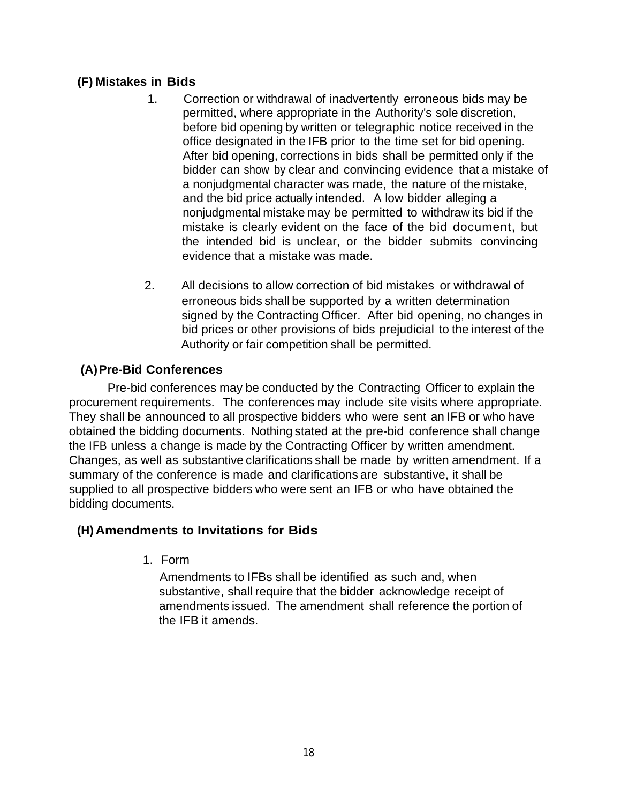## **(F) Mistakes in Bids**

- 1. Correction or withdrawal of inadvertently erroneous bids may be permitted, where appropriate in the Authority's sole discretion, before bid opening by written or telegraphic notice received in the office designated in the IFB prior to the time set for bid opening. After bid opening, corrections in bids shall be permitted only if the bidder can show by clear and convincing evidence that a mistake of a nonjudgmental character was made, the nature of the mistake, and the bid price actually intended. A low bidder alleging a nonjudgmental mistake may be permitted to withdraw its bid if the mistake is clearly evident on the face of the bid document, but the intended bid is unclear, or the bidder submits convincing evidence that a mistake was made.
- 2. All decisions to allow correction of bid mistakes or withdrawal of erroneous bids shall be supported by a written determination signed by the Contracting Officer. After bid opening, no changes in bid prices or other provisions of bids prejudicial to the interest of the Authority or fair competition shall be permitted.

## **(A)Pre-Bid Conferences**

Pre-bid conferences may be conducted by the Contracting Officer to explain the procurement requirements. The conferences may include site visits where appropriate. They shall be announced to all prospective bidders who were sent an IFB or who have obtained the bidding documents. Nothing stated at the pre-bid conference shall change the IFB unless a change is made by the Contracting Officer by written amendment. Changes, as well as substantive clarifications shall be made by written amendment. If a summary of the conference is made and clarifications are substantive, it shall be supplied to all prospective bidders who were sent an IFB or who have obtained the bidding documents.

### **(H) Amendments to Invitations for Bids**

1. Form

Amendments to IFBs shall be identified as such and, when substantive, shall require that the bidder acknowledge receipt of amendments issued. The amendment shall reference the portion of the IFB it amends.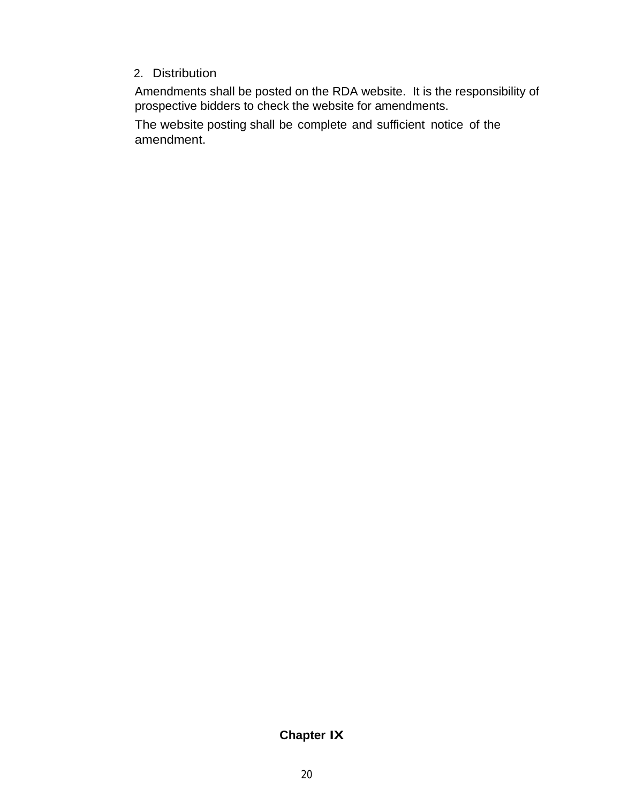#### 2. Distribution

Amendments shall be posted on the RDA website. It is the responsibility of prospective bidders to check the website for amendments.

The website posting shall be complete and sufficient notice of the amendment.

# **Chapter IX**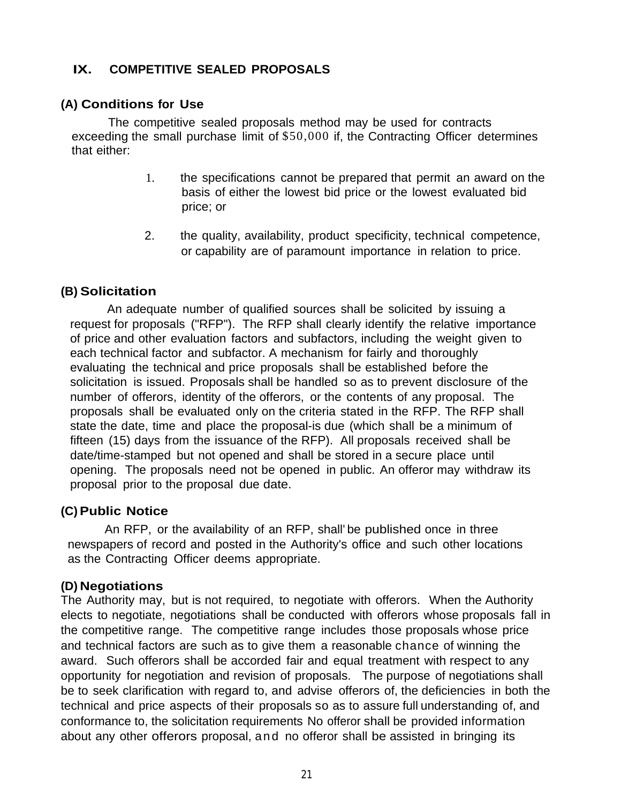## **IX. COMPETITIVE SEALED PROPOSALS**

#### **(A) Conditions for Use**

The competitive sealed proposals method may be used for contracts exceeding the small purchase limit of \$50,000 if, the Contracting Officer determines that either:

- 1. the specifications cannot be prepared that permit an award on the basis of either the lowest bid price or the lowest evaluated bid price; or
- 2. the quality, availability, product specificity, technical competence, or capability are of paramount importance in relation to price.

#### **(B) Solicitation**

An adequate number of qualified sources shall be solicited by issuing a request for proposals ("RFP"). The RFP shall clearly identify the relative importance of price and other evaluation factors and subfactors, including the weight given to each technical factor and subfactor. A mechanism for fairly and thoroughly evaluating the technical and price proposals shall be established before the solicitation is issued. Proposals shall be handled so as to prevent disclosure of the number of offerors, identity of the offerors, or the contents of any proposal. The proposals shall be evaluated only on the criteria stated in the RFP. The RFP shall state the date, time and place the proposal-is due (which shall be a minimum of fifteen (15) days from the issuance of the RFP). All proposals received shall be date/time-stamped but not opened and shall be stored in a secure place until opening. The proposals need not be opened in public. An offeror may withdraw its proposal prior to the proposal due date.

#### **(C) Public Notice**

An RFP, or the availability of an RFP, shall' be published once in three newspapers of record and posted in the Authority's office and such other locations as the Contracting Officer deems appropriate.

#### **(D) Negotiations**

The Authority may, but is not required, to negotiate with offerors. When the Authority elects to negotiate, negotiations shall be conducted with offerors whose proposals fall in the competitive range. The competitive range includes those proposals whose price and technical factors are such as to give them a reasonable chance of winning the award. Such offerors shall be accorded fair and equal treatment with respect to any opportunity for negotiation and revision of proposals. The purpose of negotiations shall be to seek clarification with regard to, and advise offerors of, the deficiencies in both the technical and price aspects of their proposals so as to assure full understanding of, and conformance to, the solicitation requirements No offeror shall be provided information about any other offerors proposal, and no offeror shall be assisted in bringing its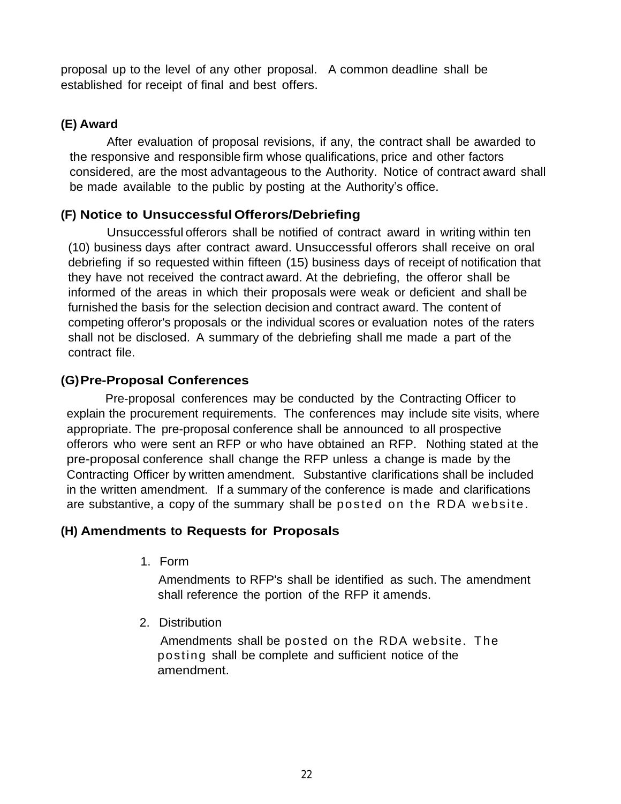proposal up to the level of any other proposal. A common deadline shall be established for receipt of final and best offers.

# **(E) Award**

After evaluation of proposal revisions, if any, the contract shall be awarded to the responsive and responsible firm whose qualifications, price and other factors considered, are the most advantageous to the Authority. Notice of contract award shall be made available to the public by posting at the Authority's office.

# **(F) Notice to Unsuccessful Offerors/Debriefing**

Unsuccessful offerors shall be notified of contract award in writing within ten (10) business days after contract award. Unsuccessful offerors shall receive on oral debriefing if so requested within fifteen (15) business days of receipt of notification that they have not received the contract award. At the debriefing, the offeror shall be informed of the areas in which their proposals were weak or deficient and shall be furnished the basis for the selection decision and contract award. The content of competing offeror's proposals or the individual scores or evaluation notes of the raters shall not be disclosed. A summary of the debriefing shall me made a part of the contract file.

# **(G)Pre-Proposal Conferences**

Pre-proposal conferences may be conducted by the Contracting Officer to explain the procurement requirements. The conferences may include site visits, where appropriate. The pre-proposal conference shall be announced to all prospective offerors who were sent an RFP or who have obtained an RFP. Nothing stated at the pre-proposal conference shall change the RFP unless a change is made by the Contracting Officer by written amendment. Substantive clarifications shall be included in the written amendment. If a summary of the conference is made and clarifications are substantive, a copy of the summary shall be posted on the RDA website.

# **(H) Amendments to Requests for Proposals**

1. Form

Amendments to RFP's shall be identified as such. The amendment shall reference the portion of the RFP it amends.

2. Distribution

Amendments shall be posted on the RDA website. The posting shall be complete and sufficient notice of the amendment.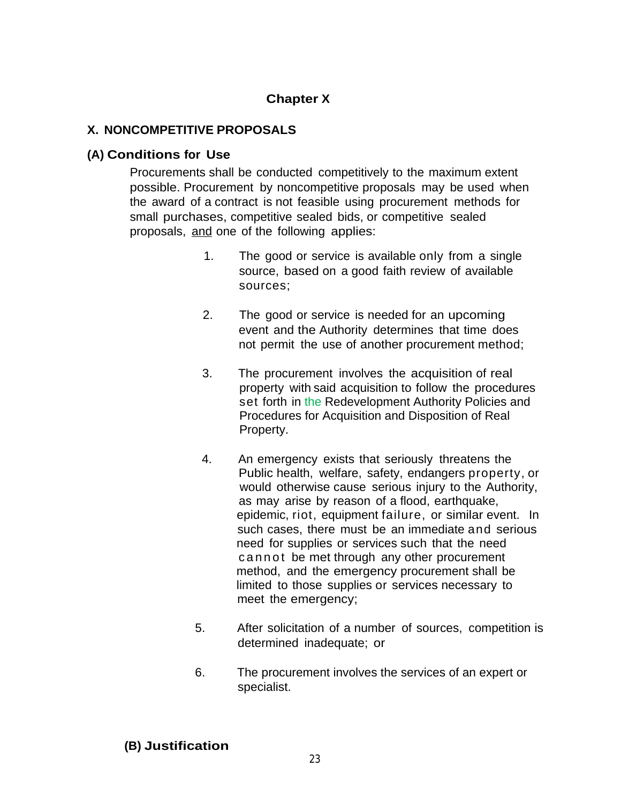## **Chapter X**

#### **X. NONCOMPETITIVE PROPOSALS**

#### **(A) Conditions for Use**

Procurements shall be conducted competitively to the maximum extent possible. Procurement by noncompetitive proposals may be used when the award of a contract is not feasible using procurement methods for small purchases, competitive sealed bids, or competitive sealed proposals, and one of the following applies:

- 1. The good or service is available only from a single source, based on a good faith review of available sources;
- 2. The good or service is needed for an upcoming event and the Authority determines that time does not permit the use of another procurement method;
- 3. The procurement involves the acquisition of real property with said acquisition to follow the procedures set forth in the Redevelopment Authority Policies and Procedures for Acquisition and Disposition of Real Property.
- 4. An emergency exists that seriously threatens the Public health, welfare, safety, endangers property, or would otherwise cause serious injury to the Authority, as may arise by reason of a flood, earthquake, epidemic, riot, equipment failure, or similar event. In such cases, there must be an immediate and serious need for supplies or services such that the need c a n n ot be met through any other procurement method, and the emergency procurement shall be limited to those supplies or services necessary to meet the emergency;
- 5. After solicitation of a number of sources, competition is determined inadequate; or
- 6. The procurement involves the services of an expert or specialist.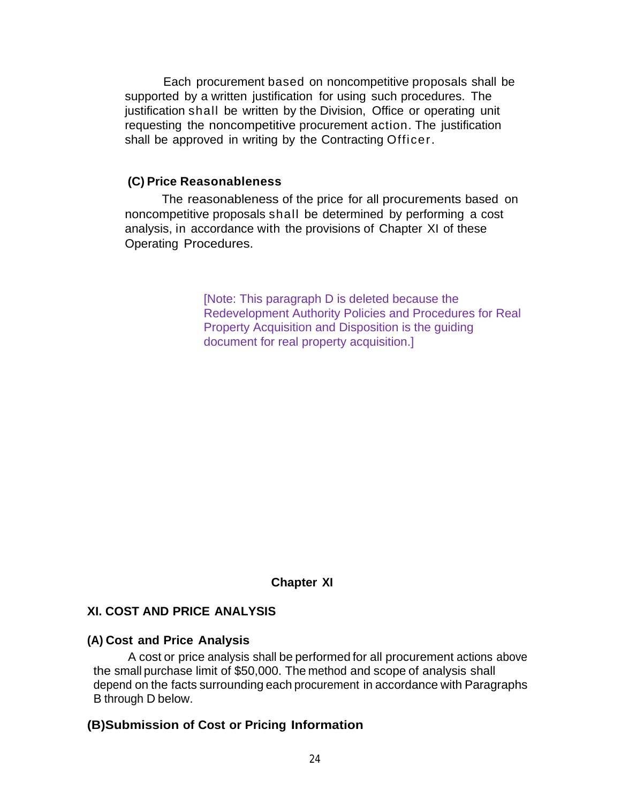Each procurement based on noncompetitive proposals shall be supported by a written justification for using such procedures. The justification shall be written by the Division, Office or operating unit requesting the noncompetitive procurement action. The justification shall be approved in writing by the Contracting Officer.

#### **(C) Price Reasonableness**

The reasonableness of the price for all procurements based on noncompetitive proposals shall be determined by performing a cost analysis, in accordance with the provisions of Chapter XI of these Operating Procedures.

> [Note: This paragraph D is deleted because the Redevelopment Authority Policies and Procedures for Real Property Acquisition and Disposition is the guiding document for real property acquisition.]

> > **Chapter XI**

#### **XI. COST AND PRICE ANALYSIS**

#### **(A) Cost and Price Analysis**

A cost or price analysis shall be performed for all procurement actions above the small purchase limit of \$50,000. The method and scope of analysis shall depend on the facts surrounding each procurement in accordance with Paragraphs B through D below.

#### **(B)Submission of Cost or Pricing Information**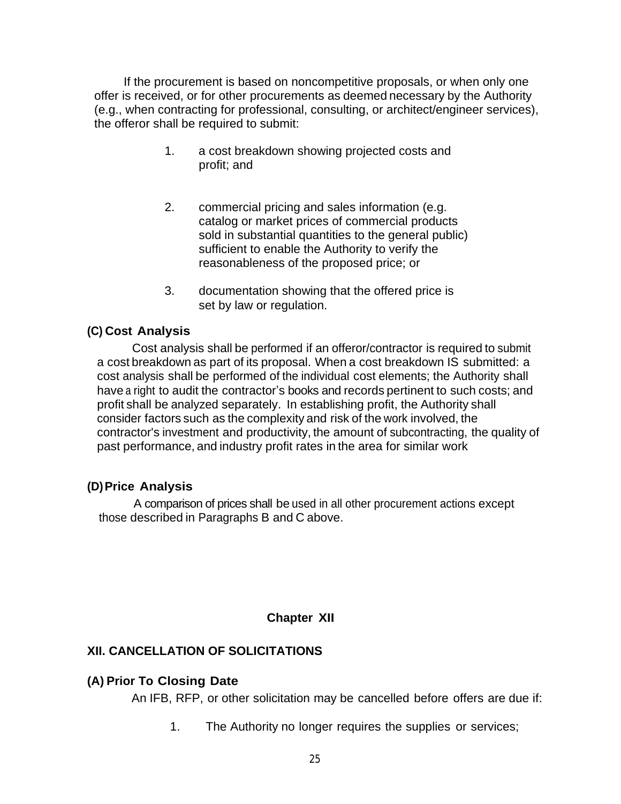If the procurement is based on noncompetitive proposals, or when only one offer is received, or for other procurements as deemed necessary by the Authority (e.g., when contracting for professional, consulting, or architect/engineer services), the offeror shall be required to submit:

- 1. a cost breakdown showing projected costs and profit; and
- 2. commercial pricing and sales information (e.g. catalog or market prices of commercial products sold in substantial quantities to the general public) sufficient to enable the Authority to verify the reasonableness of the proposed price; or
- 3. documentation showing that the offered price is set by law or regulation.

#### **(C) Cost Analysis**

Cost analysis shall be performed if an offeror/contractor is required to submit a cost breakdown as part of its proposal. When a cost breakdown IS submitted: a cost analysis shall be performed of the individual cost elements; the Authority shall have a right to audit the contractor's books and records pertinent to such costs; and profit shall be analyzed separately. In establishing profit, the Authority shall consider factors such as the complexity and risk of the work involved, the contractor's investment and productivity, the amount of subcontracting, the quality of past performance, and industry profit rates in the area for similar work

#### **(D)Price Analysis**

A comparison of prices shall be used in all other procurement actions except those described in Paragraphs B and C above.

#### **Chapter XII**

### **XII. CANCELLATION OF SOLICITATIONS**

#### **(A) Prior To Closing Date**

An IFB, RFP, or other solicitation may be cancelled before offers are due if:

1. The Authority no longer requires the supplies or services;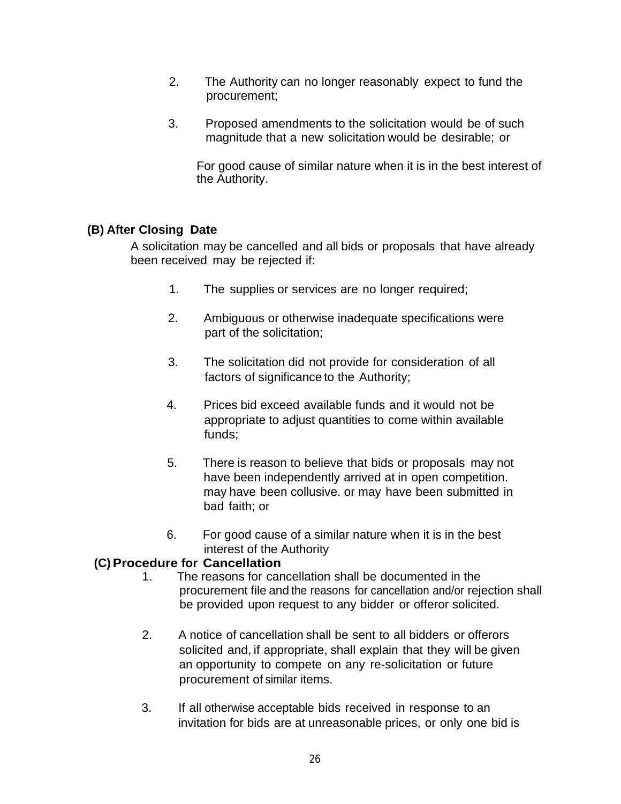- 2. The Authority can no longer reasonably expect to fund the procurement;
- 3. Proposed amendments to the solicitation would be of such magnitude that a new solicitation would be desirable; or

For good cause of similar nature when it is in the best interest of the Authority.

## **(B) After Closing Date**

A solicitation may be cancelled and all bids or proposals that have already been received may be rejected if:

- 1. The supplies or services are no longer required;
- 2. Ambiguous or otherwise inadequate specifications were part of the solicitation;
- 3. The solicitation did not provide for consideration of all factors of significance to the Authority;
- 4. Prices bid exceed available funds and it would not be appropriate to adjust quantities to come within available funds;
- 5. There is reason to believe that bids or proposals may not have been independently arrived at in open competition. may have been collusive. or may have been submitted in bad faith; or
- 6. For good cause of a similar nature when it is in the best interest of the Authority

# **(C)Procedure for Cancellation**

- 1. The reasons for cancellation shall be documented in the procurement file and the reasons for cancellation and/or rejection shall be provided upon request to any bidder or offeror solicited.
- 2. A notice of cancellation shall be sent to all bidders or offerors solicited and, if appropriate, shall explain that they will be given an opportunity to compete on any re-solicitation or future procurement of similar items.
- 3. If all otherwise acceptable bids received in response to an invitation for bids are at unreasonable prices, or only one bid is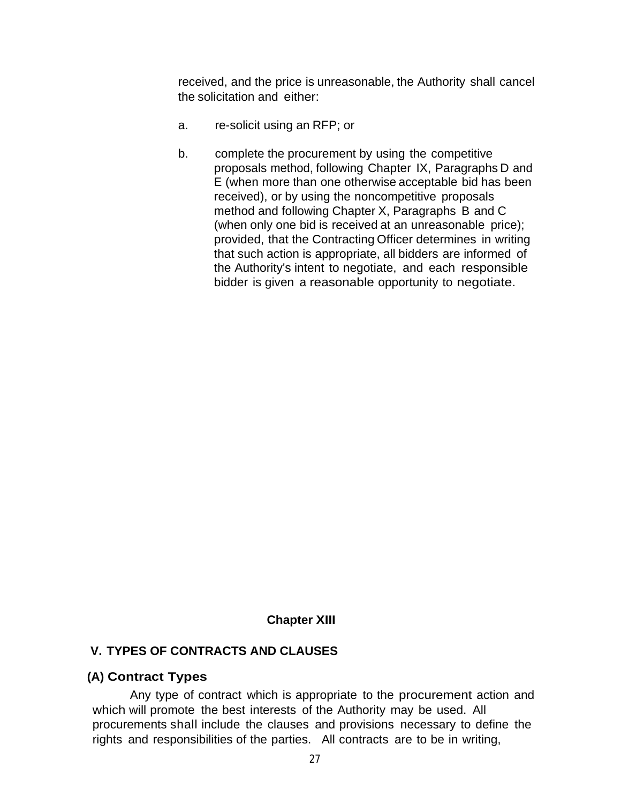received, and the price is unreasonable, the Authority shall cancel the solicitation and either:

- a. re-solicit using an RFP; or
- b. complete the procurement by using the competitive proposals method, following Chapter IX, Paragraphs D and E (when more than one otherwise acceptable bid has been received), or by using the noncompetitive proposals method and following Chapter X, Paragraphs B and C (when only one bid is received at an unreasonable price); provided, that the Contracting Officer determines in writing that such action is appropriate, all bidders are informed of the Authority's intent to negotiate, and each responsible bidder is given a reasonable opportunity to negotiate.

#### **Chapter XIII**

#### **V. TYPES OF CONTRACTS AND CLAUSES**

#### **(A) Contract Types**

Any type of contract which is appropriate to the procurement action and which will promote the best interests of the Authority may be used. All procurements shall include the clauses and provisions necessary to define the rights and responsibilities of the parties. All contracts are to be in writing,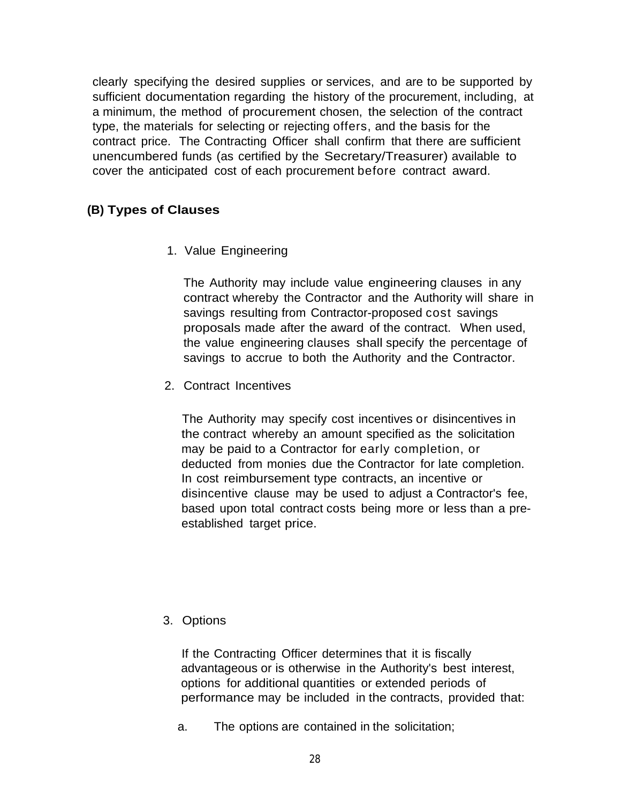clearly specifying the desired supplies or services, and are to be supported by sufficient documentation regarding the history of the procurement, including, at a minimum, the method of procurement chosen, the selection of the contract type, the materials for selecting or rejecting offers, and the basis for the contract price. The Contracting Officer shall confirm that there are sufficient unencumbered funds (as certified by the Secretary/Treasurer) available to cover the anticipated cost of each procurement before contract award.

### **(B) Types of Clauses**

1. Value Engineering

The Authority may include value engineering clauses in any contract whereby the Contractor and the Authority will share in savings resulting from Contractor-proposed cost savings proposals made after the award of the contract. When used, the value engineering clauses shall specify the percentage of savings to accrue to both the Authority and the Contractor.

2. Contract Incentives

The Authority may specify cost incentives or disincentives in the contract whereby an amount specified as the solicitation may be paid to a Contractor for early completion, or deducted from monies due the Contractor for late completion. In cost reimbursement type contracts, an incentive or disincentive clause may be used to adjust a Contractor's fee, based upon total contract costs being more or less than a preestablished target price.

3. Options

If the Contracting Officer determines that it is fiscally advantageous or is otherwise in the Authority's best interest, options for additional quantities or extended periods of performance may be included in the contracts, provided that:

a. The options are contained in the solicitation;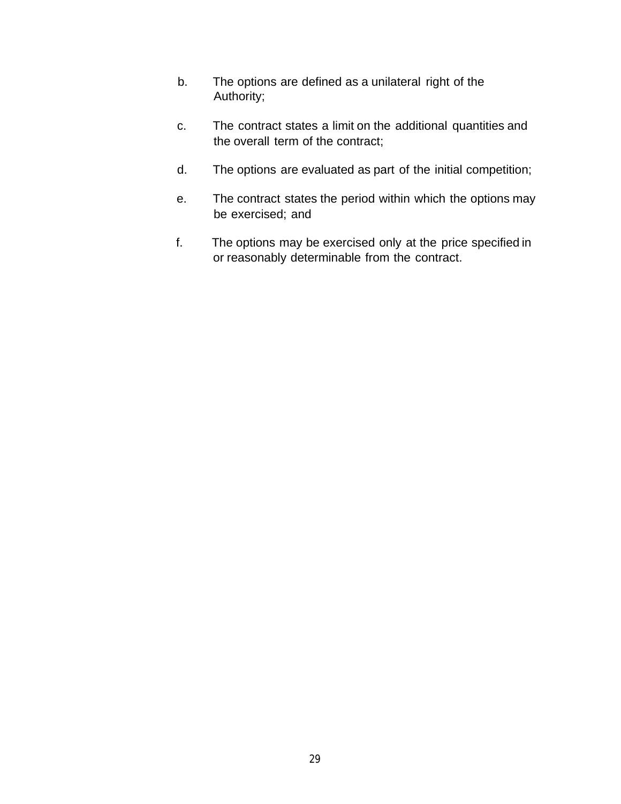- b. The options are defined as a unilateral right of the Authority;
- c. The contract states a limit on the additional quantities and the overall term of the contract;
- d. The options are evaluated as part of the initial competition;
- e. The contract states the period within which the options may be exercised; and
- f. The options may be exercised only at the price specified in or reasonably determinable from the contract.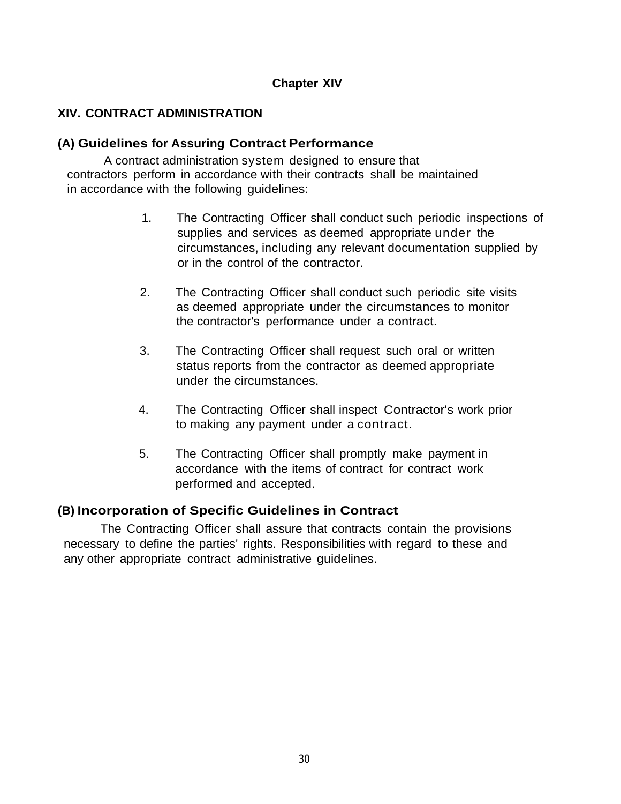### **Chapter XIV**

#### **XIV. CONTRACT ADMINISTRATION**

#### **(A) Guidelines for Assuring Contract Performance**

A contract administration system designed to ensure that contractors perform in accordance with their contracts shall be maintained in accordance with the following guidelines:

- 1. The Contracting Officer shall conduct such periodic inspections of supplies and services as deemed appropriate under the circumstances, including any relevant documentation supplied by or in the control of the contractor.
- 2. The Contracting Officer shall conduct such periodic site visits as deemed appropriate under the circumstances to monitor the contractor's performance under a contract.
- 3. The Contracting Officer shall request such oral or written status reports from the contractor as deemed appropriate under the circumstances.
- 4. The Contracting Officer shall inspect Contractor's work prior to making any payment under a contract.
- 5. The Contracting Officer shall promptly make payment in accordance with the items of contract for contract work performed and accepted.

#### **(B) Incorporation of Specific Guidelines in Contract**

The Contracting Officer shall assure that contracts contain the provisions necessary to define the parties' rights. Responsibilities with regard to these and any other appropriate contract administrative guidelines.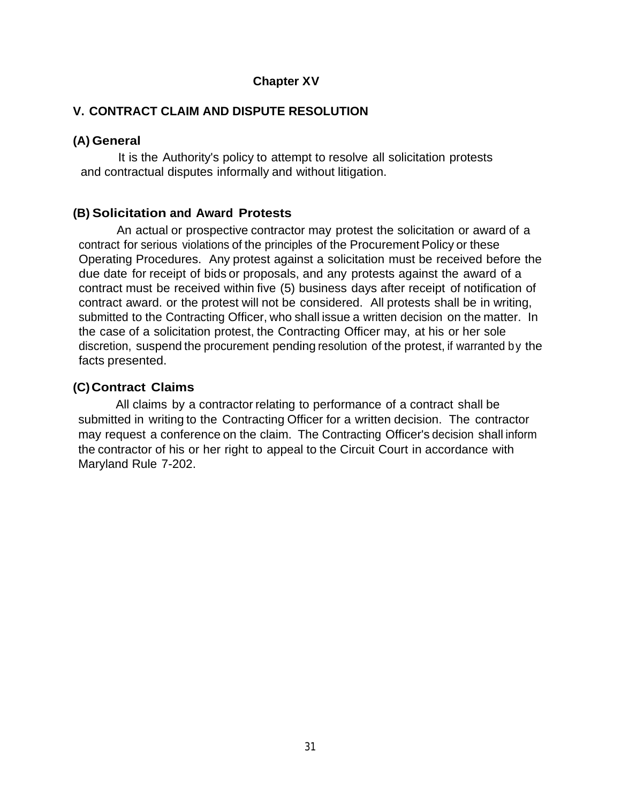#### **Chapter XV**

#### **V. CONTRACT CLAIM AND DISPUTE RESOLUTION**

#### **(A) General**

It is the Authority's policy to attempt to resolve all solicitation protests and contractual disputes informally and without litigation.

#### **(B) Solicitation and Award Protests**

An actual or prospective contractor may protest the solicitation or award of a contract for serious violations of the principles of the Procurement Policy or these Operating Procedures. Any protest against a solicitation must be received before the due date for receipt of bids or proposals, and any protests against the award of a contract must be received within five (5) business days after receipt of notification of contract award. or the protest will not be considered. All protests shall be in writing, submitted to the Contracting Officer, who shall issue a written decision on the matter. In the case of a solicitation protest, the Contracting Officer may, at his or her sole discretion, suspend the procurement pending resolution of the protest, if warranted by the facts presented.

#### **(C) Contract Claims**

All claims by a contractor relating to performance of a contract shall be submitted in writing to the Contracting Officer for a written decision. The contractor may request a conference on the claim. The Contracting Officer's decision shall inform the contractor of his or her right to appeal to the Circuit Court in accordance with Maryland Rule 7-202.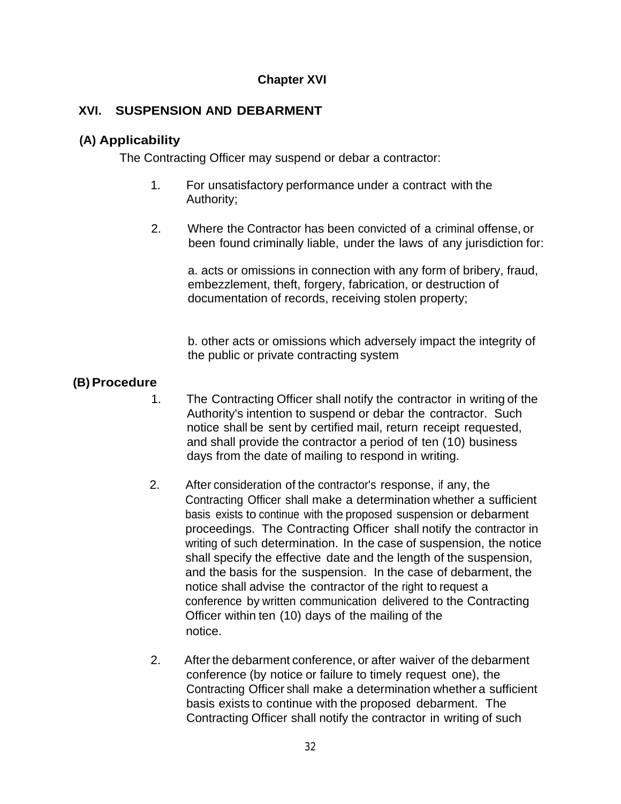## **Chapter XVI**

## **XVI. SUSPENSION AND DEBARMENT**

#### **(A) Applicability**

The Contracting Officer may suspend or debar a contractor:

- 1. For unsatisfactory performance under a contract with the Authority;
- 2. Where the Contractor has been convicted of a criminal offense, or been found criminally liable, under the laws of any jurisdiction for:

a. acts or omissions in connection with any form of bribery, fraud, embezzlement, theft, forgery, fabrication, or destruction of documentation of records, receiving stolen property;

b. other acts or omissions which adversely impact the integrity of the public or private contracting system

### **(B) Procedure**

- 1. The Contracting Officer shall notify the contractor in writing of the Authority's intention to suspend or debar the contractor. Such notice shall be sent by certified mail, return receipt requested, and shall provide the contractor a period of ten (10) business days from the date of mailing to respond in writing.
- 2. After consideration of the contractor's response, if any, the Contracting Officer shall make a determination whether a sufficient basis exists to continue with the proposed suspension or debarment proceedings. The Contracting Officer shall notify the contractor in writing of such determination. In the case of suspension, the notice shall specify the effective date and the length of the suspension, and the basis for the suspension. In the case of debarment, the notice shall advise the contractor of the right to request a conference by written communication delivered to the Contracting Officer within ten (10) days of the mailing of the notice.
- 2. After the debarment conference, or after waiver of the debarment conference (by notice or failure to timely request one), the Contracting Officer shall make a determination whether a sufficient basis exists to continue with the proposed debarment. The Contracting Officer shall notify the contractor in writing of such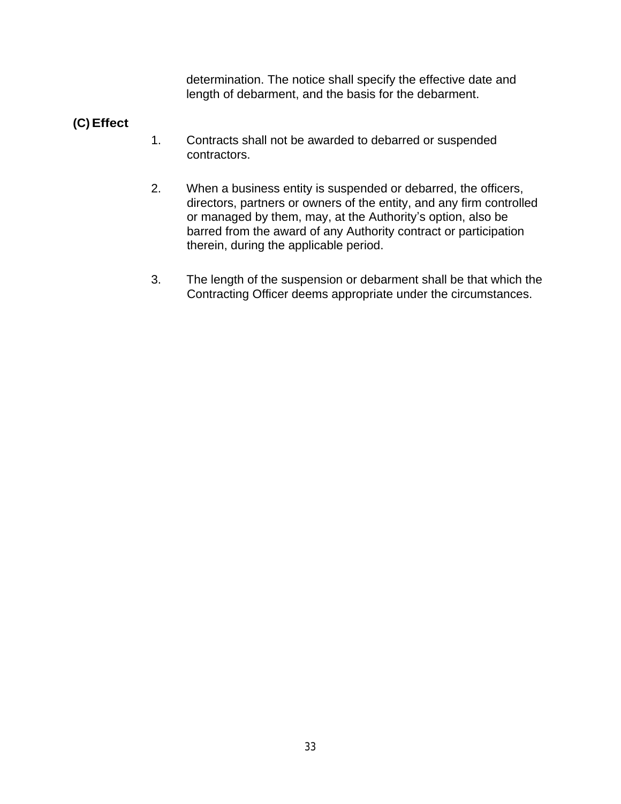determination. The notice shall specify the effective date and length of debarment, and the basis for the debarment.

# **(C) Effect**

- 1. Contracts shall not be awarded to debarred or suspended contractors.
- 2. When a business entity is suspended or debarred, the officers, directors, partners or owners of the entity, and any firm controlled or managed by them, may, at the Authority's option, also be barred from the award of any Authority contract or participation therein, during the applicable period.
- 3. The length of the suspension or debarment shall be that which the Contracting Officer deems appropriate under the circumstances.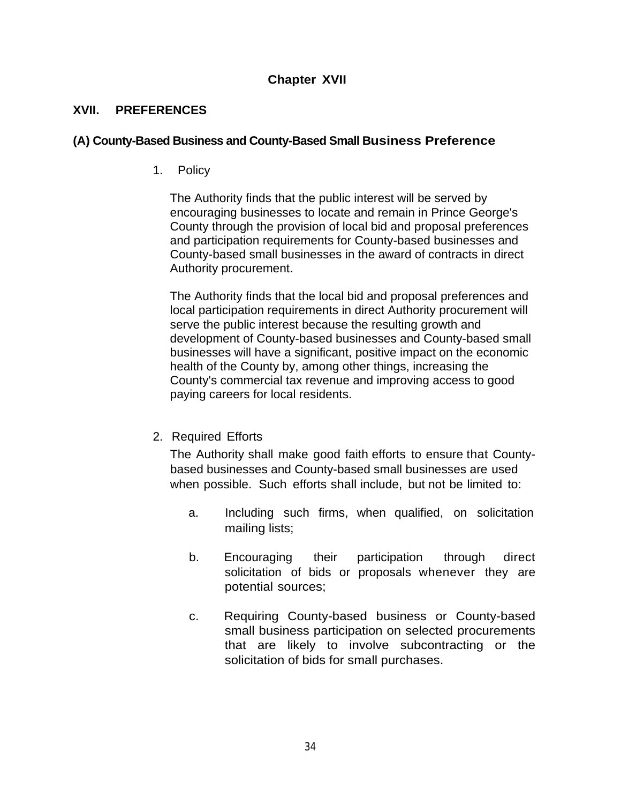### **Chapter XVII**

#### **XVII. PREFERENCES**

#### **(A) County-Based Business and County-Based Small Business Preference**

1. Policy

The Authority finds that the public interest will be served by encouraging businesses to locate and remain in Prince George's County through the provision of local bid and proposal preferences and participation requirements for County-based businesses and County-based small businesses in the award of contracts in direct Authority procurement.

The Authority finds that the local bid and proposal preferences and local participation requirements in direct Authority procurement will serve the public interest because the resulting growth and development of County-based businesses and County-based small businesses will have a significant, positive impact on the economic health of the County by, among other things, increasing the County's commercial tax revenue and improving access to good paying careers for local residents.

2. Required Efforts

The Authority shall make good faith efforts to ensure that Countybased businesses and County-based small businesses are used when possible. Such efforts shall include, but not be limited to:

- a. Including such firms, when qualified, on solicitation mailing lists;
- b. Encouraging their participation through direct solicitation of bids or proposals whenever they are potential sources;
- c. Requiring County-based business or County-based small business participation on selected procurements that are likely to involve subcontracting or the solicitation of bids for small purchases.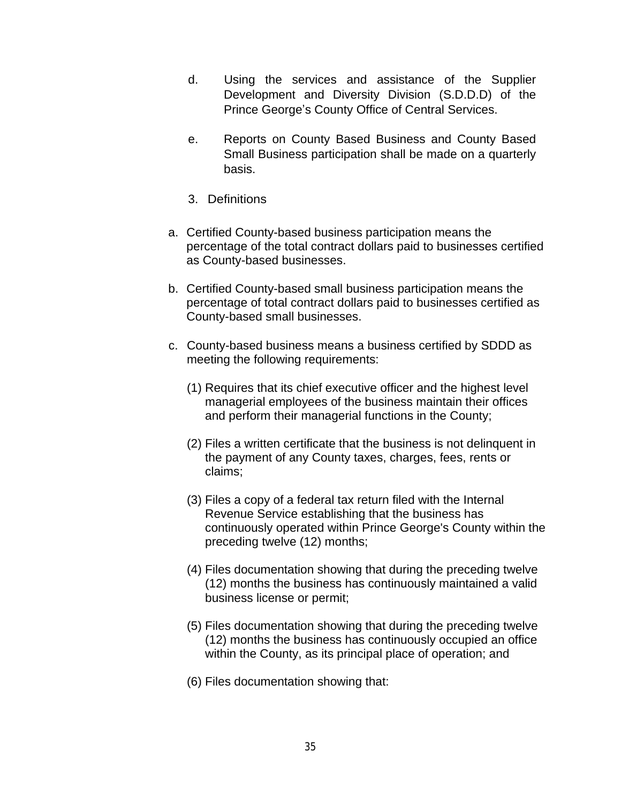- d. Using the services and assistance of the Supplier Development and Diversity Division (S.D.D.D) of the Prince George's County Office of Central Services.
- e. Reports on County Based Business and County Based Small Business participation shall be made on a quarterly basis.
- 3. Definitions
- a. Certified County-based business participation means the percentage of the total contract dollars paid to businesses certified as County-based businesses.
- b. Certified County-based small business participation means the percentage of total contract dollars paid to businesses certified as County-based small businesses.
- c. County-based business means a business certified by SDDD as meeting the following requirements:
	- (1) Requires that its chief executive officer and the highest level managerial employees of the business maintain their offices and perform their managerial functions in the County;
	- (2) Files a written certificate that the business is not delinquent in the payment of any County taxes, charges, fees, rents or claims;
	- (3) Files a copy of a federal tax return filed with the Internal Revenue Service establishing that the business has continuously operated within Prince George's County within the preceding twelve (12) months;
	- (4) Files documentation showing that during the preceding twelve (12) months the business has continuously maintained a valid business license or permit;
	- (5) Files documentation showing that during the preceding twelve (12) months the business has continuously occupied an office within the County, as its principal place of operation; and
	- (6) Files documentation showing that: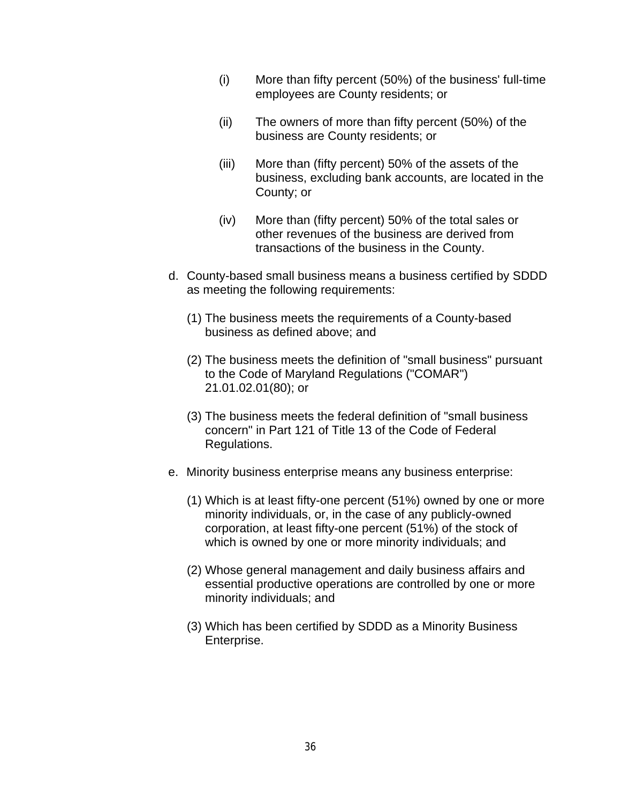- (i) More than fifty percent (50%) of the business' full-time employees are County residents; or
- (ii) The owners of more than fifty percent (50%) of the business are County residents; or
- (iii) More than (fifty percent) 50% of the assets of the business, excluding bank accounts, are located in the County; or
- (iv) More than (fifty percent) 50% of the total sales or other revenues of the business are derived from transactions of the business in the County.
- d. County-based small business means a business certified by SDDD as meeting the following requirements:
	- (1) The business meets the requirements of a County-based business as defined above; and
	- (2) The business meets the definition of "small business" pursuant to the Code of Maryland Regulations ("COMAR") 21.01.02.01(80); or
	- (3) The business meets the federal definition of "small business concern" in Part 121 of Title 13 of the Code of Federal Regulations.
- e. Minority business enterprise means any business enterprise:
	- (1) Which is at least fifty-one percent (51%) owned by one or more minority individuals, or, in the case of any publicly-owned corporation, at least fifty-one percent (51%) of the stock of which is owned by one or more minority individuals; and
	- (2) Whose general management and daily business affairs and essential productive operations are controlled by one or more minority individuals; and
	- (3) Which has been certified by SDDD as a Minority Business Enterprise.